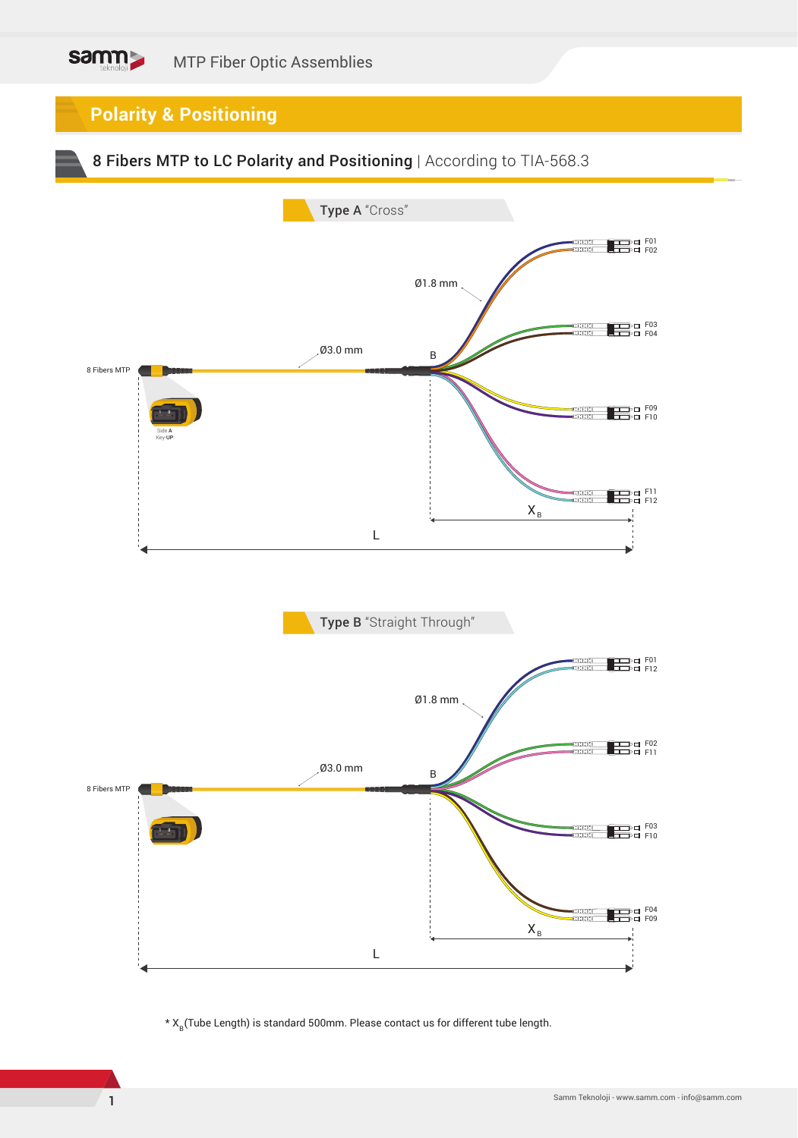## samm MTP Fiber Optic Assemblies

**Polarity & Positioning**





\*  $X_R$ (Tube Length) is standard 500mm. Please contact us for different tube length.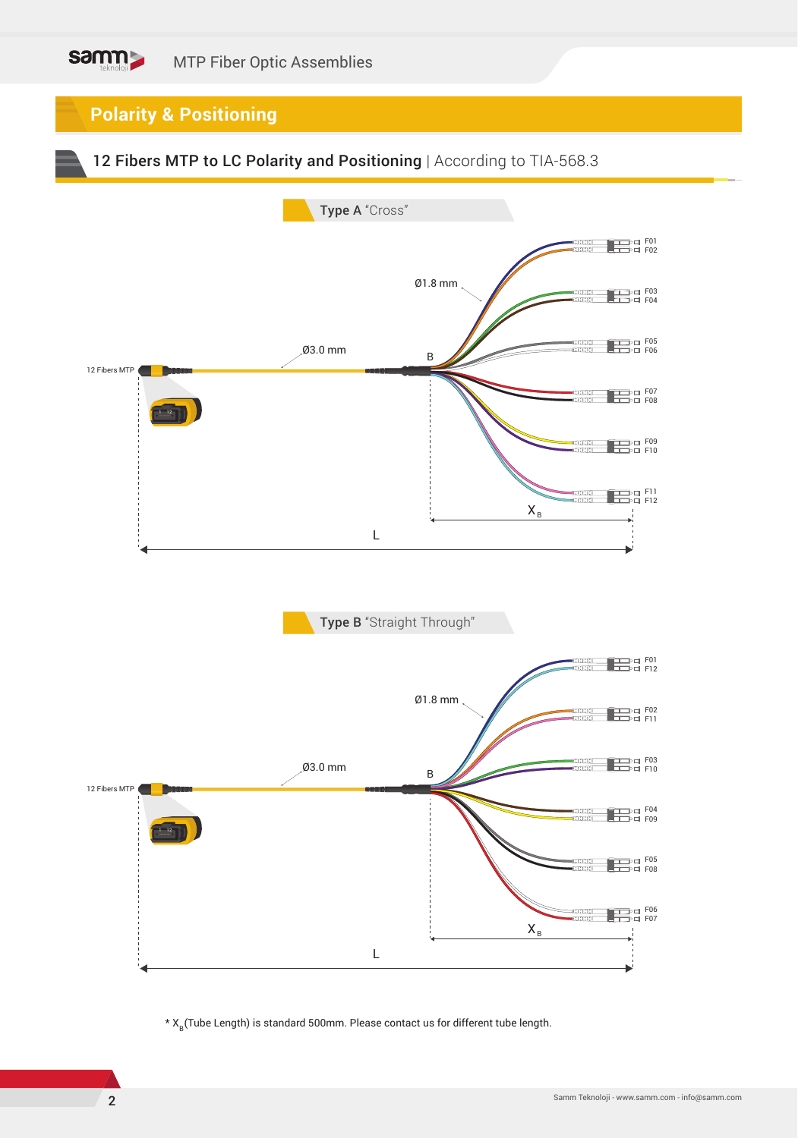## samm MTP Fiber Optic Assemblies

**Polarity & Positioning**

12 Fibers MTP to LC Polarity and Positioning | According to TIA-568.3



\*  $X_R$ (Tube Length) is standard 500mm. Please contact us for different tube length.